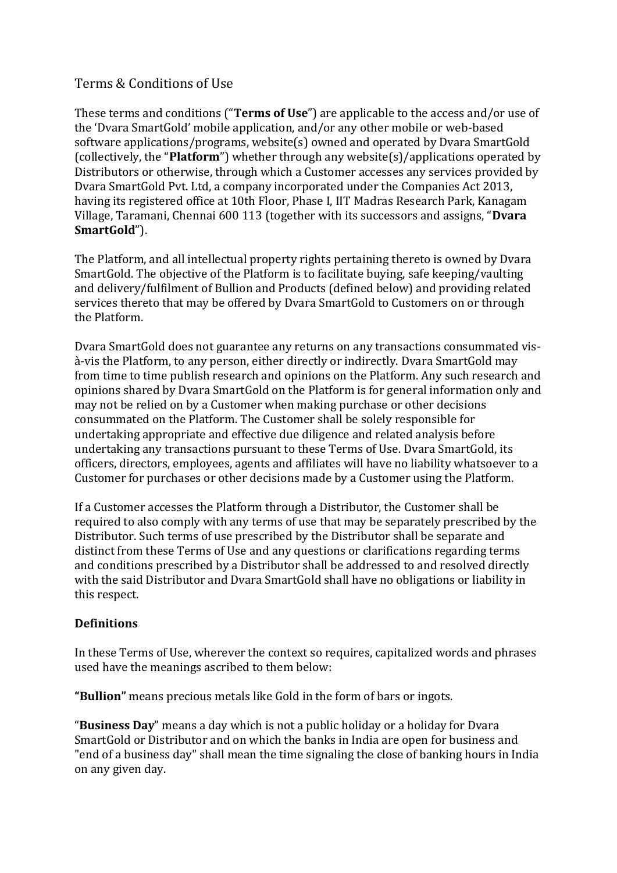# Terms & Conditions of Use

These terms and conditions ("**Terms of Use**") are applicable to the access and/or use of the 'Dvara SmartGold' mobile application, and/or any other mobile or web-based software applications/programs, website(s) owned and operated by Dvara SmartGold (collectively, the "**Platform**") whether through any website(s)/applications operated by Distributors or otherwise, through which a Customer accesses any services provided by Dvara SmartGold Pvt. Ltd, a company incorporated under the Companies Act 2013, having its registered office at 10th Floor, Phase I, IIT Madras Research Park, Kanagam Village, Taramani, Chennai 600 113 (together with its successors and assigns, "**Dvara SmartGold**").

The Platform, and all intellectual property rights pertaining thereto is owned by Dvara SmartGold. The objective of the Platform is to facilitate buying, safe keeping/vaulting and delivery/fulfilment of Bullion and Products (defined below) and providing related services thereto that may be offered by Dvara SmartGold to Customers on or through the Platform.

Dvara SmartGold does not guarantee any returns on any transactions consummated visà-vis the Platform, to any person, either directly or indirectly. Dvara SmartGold may from time to time publish research and opinions on the Platform. Any such research and opinions shared by Dvara SmartGold on the Platform is for general information only and may not be relied on by a Customer when making purchase or other decisions consummated on the Platform. The Customer shall be solely responsible for undertaking appropriate and effective due diligence and related analysis before undertaking any transactions pursuant to these Terms of Use. Dvara SmartGold, its officers, directors, employees, agents and affiliates will have no liability whatsoever to a Customer for purchases or other decisions made by a Customer using the Platform.

If a Customer accesses the Platform through a Distributor, the Customer shall be required to also comply with any terms of use that may be separately prescribed by the Distributor. Such terms of use prescribed by the Distributor shall be separate and distinct from these Terms of Use and any questions or clarifications regarding terms and conditions prescribed by a Distributor shall be addressed to and resolved directly with the said Distributor and Dvara SmartGold shall have no obligations or liability in this respect.

### **Definitions**

In these Terms of Use, wherever the context so requires, capitalized words and phrases used have the meanings ascribed to them below:

**"Bullion"** means precious metals like Gold in the form of bars or ingots.

"**Business Day**" means a day which is not a public holiday or a holiday for Dvara SmartGold or Distributor and on which the banks in India are open for business and "end of a business day" shall mean the time signaling the close of banking hours in India on any given day.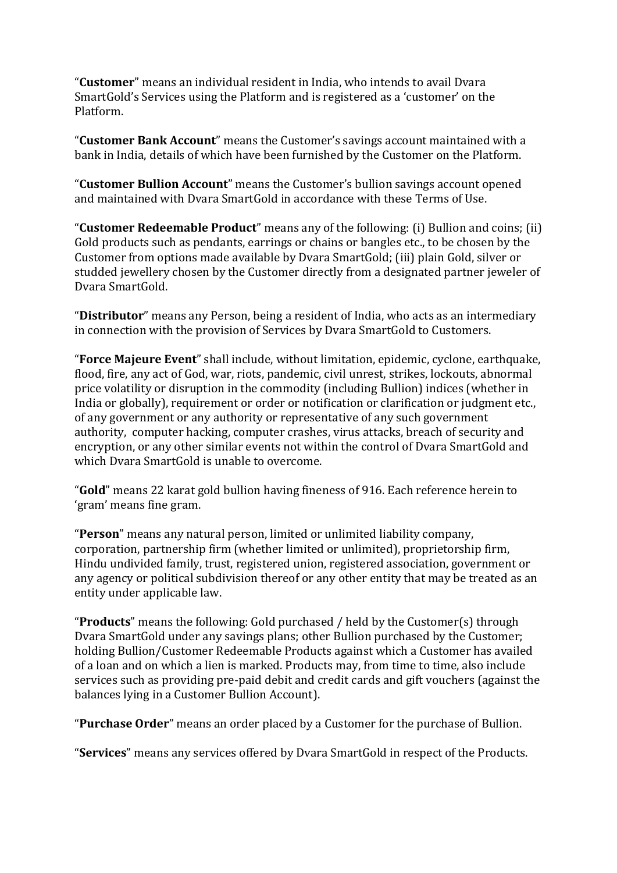"**Customer**" means an individual resident in India, who intends to avail Dvara SmartGold's Services using the Platform and is registered as a 'customer' on the Platform.

"**Customer Bank Account**" means the Customer's savings account maintained with a bank in India, details of which have been furnished by the Customer on the Platform.

"**Customer Bullion Account**" means the Customer's bullion savings account opened and maintained with Dvara SmartGold in accordance with these Terms of Use.

"**Customer Redeemable Product**" means any of the following: (i) Bullion and coins; (ii) Gold products such as pendants, earrings or chains or bangles etc., to be chosen by the Customer from options made available by Dvara SmartGold; (iii) plain Gold, silver or studded jewellery chosen by the Customer directly from a designated partner jeweler of Dvara SmartGold.

"**Distributor**" means any Person, being a resident of India, who acts as an intermediary in connection with the provision of Services by Dvara SmartGold to Customers.

"**Force Majeure Event**" shall include, without limitation, epidemic, cyclone, earthquake, flood, fire, any act of God, war, riots, pandemic, civil unrest, strikes, lockouts, abnormal price volatility or disruption in the commodity (including Bullion) indices (whether in India or globally), requirement or order or notification or clarification or judgment etc., of any government or any authority or representative of any such government authority, computer hacking, computer crashes, virus attacks, breach of security and encryption, or any other similar events not within the control of Dvara SmartGold and which Dvara SmartGold is unable to overcome.

"**Gold**" means 22 karat gold bullion having fineness of 916. Each reference herein to 'gram' means fine gram.

"**Person**" means any natural person, limited or unlimited liability company, corporation, partnership firm (whether limited or unlimited), proprietorship firm, Hindu undivided family, trust, registered union, registered association, government or any agency or political subdivision thereof or any other entity that may be treated as an entity under applicable law.

"**Products**" means the following: Gold purchased / held by the Customer(s) through Dvara SmartGold under any savings plans; other Bullion purchased by the Customer; holding Bullion/Customer Redeemable Products against which a Customer has availed of a loan and on which a lien is marked. Products may, from time to time, also include services such as providing pre-paid debit and credit cards and gift vouchers (against the balances lying in a Customer Bullion Account).

"**Purchase Order**" means an order placed by a Customer for the purchase of Bullion.

"**Services**" means any services offered by Dvara SmartGold in respect of the Products.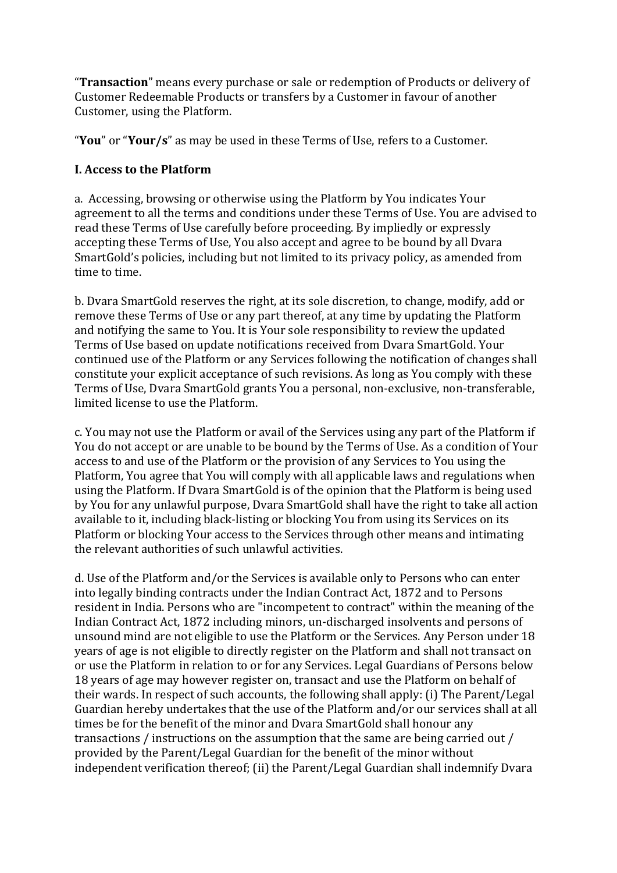"**Transaction**" means every purchase or sale or redemption of Products or delivery of Customer Redeemable Products or transfers by a Customer in favour of another Customer, using the Platform.

"**You**" or "**Your/s**" as may be used in these Terms of Use, refers to a Customer.

### **I. Access to the Platform**

a. Accessing, browsing or otherwise using the Platform by You indicates Your agreement to all the terms and conditions under these Terms of Use. You are advised to read these Terms of Use carefully before proceeding. By impliedly or expressly accepting these Terms of Use, You also accept and agree to be bound by all Dvara SmartGold's policies, including but not limited to its privacy policy, as amended from time to time.

b. Dvara SmartGold reserves the right, at its sole discretion, to change, modify, add or remove these Terms of Use or any part thereof, at any time by updating the Platform and notifying the same to You. It is Your sole responsibility to review the updated Terms of Use based on update notifications received from Dvara SmartGold. Your continued use of the Platform or any Services following the notification of changes shall constitute your explicit acceptance of such revisions. As long as You comply with these Terms of Use, Dvara SmartGold grants You a personal, non-exclusive, non-transferable, limited license to use the Platform.

c. You may not use the Platform or avail of the Services using any part of the Platform if You do not accept or are unable to be bound by the Terms of Use. As a condition of Your access to and use of the Platform or the provision of any Services to You using the Platform, You agree that You will comply with all applicable laws and regulations when using the Platform. If Dvara SmartGold is of the opinion that the Platform is being used by You for any unlawful purpose, Dvara SmartGold shall have the right to take all action available to it, including black-listing or blocking You from using its Services on its Platform or blocking Your access to the Services through other means and intimating the relevant authorities of such unlawful activities.

d. Use of the Platform and/or the Services is available only to Persons who can enter into legally binding contracts under the Indian Contract Act, 1872 and to Persons resident in India. Persons who are "incompetent to contract" within the meaning of the Indian Contract Act, 1872 including minors, un-discharged insolvents and persons of unsound mind are not eligible to use the Platform or the Services. Any Person under 18 years of age is not eligible to directly register on the Platform and shall not transact on or use the Platform in relation to or for any Services. Legal Guardians of Persons below 18 years of age may however register on, transact and use the Platform on behalf of their wards. In respect of such accounts, the following shall apply: (i) The Parent/Legal Guardian hereby undertakes that the use of the Platform and/or our services shall at all times be for the benefit of the minor and Dvara SmartGold shall honour any transactions / instructions on the assumption that the same are being carried out / provided by the Parent/Legal Guardian for the benefit of the minor without independent verification thereof; (ii) the Parent/Legal Guardian shall indemnify Dvara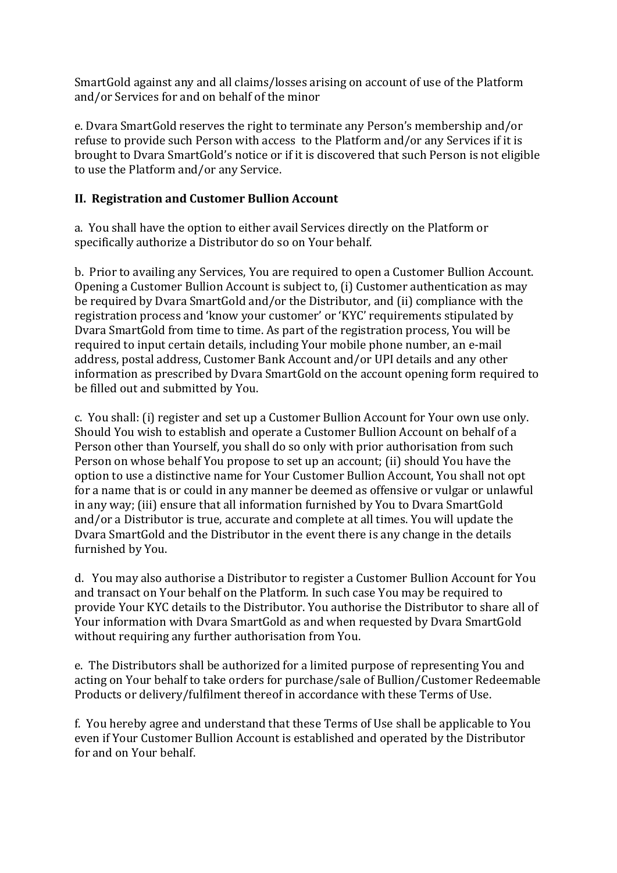SmartGold against any and all claims/losses arising on account of use of the Platform and/or Services for and on behalf of the minor

e. Dvara SmartGold reserves the right to terminate any Person's membership and/or refuse to provide such Person with access to the Platform and/or any Services if it is brought to Dvara SmartGold's notice or if it is discovered that such Person is not eligible to use the Platform and/or any Service.

### **II. Registration and Customer Bullion Account**

a. You shall have the option to either avail Services directly on the Platform or specifically authorize a Distributor do so on Your behalf.

b. Prior to availing any Services, You are required to open a Customer Bullion Account. Opening a Customer Bullion Account is subject to, (i) Customer authentication as may be required by Dvara SmartGold and/or the Distributor, and (ii) compliance with the registration process and 'know your customer' or 'KYC' requirements stipulated by Dvara SmartGold from time to time. As part of the registration process, You will be required to input certain details, including Your mobile phone number, an e-mail address, postal address, Customer Bank Account and/or UPI details and any other information as prescribed by Dvara SmartGold on the account opening form required to be filled out and submitted by You.

c. You shall: (i) register and set up a Customer Bullion Account for Your own use only. Should You wish to establish and operate a Customer Bullion Account on behalf of a Person other than Yourself, you shall do so only with prior authorisation from such Person on whose behalf You propose to set up an account; (ii) should You have the option to use a distinctive name for Your Customer Bullion Account, You shall not opt for a name that is or could in any manner be deemed as offensive or vulgar or unlawful in any way; (iii) ensure that all information furnished by You to Dvara SmartGold and/or a Distributor is true, accurate and complete at all times. You will update the Dvara SmartGold and the Distributor in the event there is any change in the details furnished by You.

d. You may also authorise a Distributor to register a Customer Bullion Account for You and transact on Your behalf on the Platform. In such case You may be required to provide Your KYC details to the Distributor. You authorise the Distributor to share all of Your information with Dvara SmartGold as and when requested by Dvara SmartGold without requiring any further authorisation from You.

e. The Distributors shall be authorized for a limited purpose of representing You and acting on Your behalf to take orders for purchase/sale of Bullion/Customer Redeemable Products or delivery/fulfilment thereof in accordance with these Terms of Use.

f. You hereby agree and understand that these Terms of Use shall be applicable to You even if Your Customer Bullion Account is established and operated by the Distributor for and on Your behalf.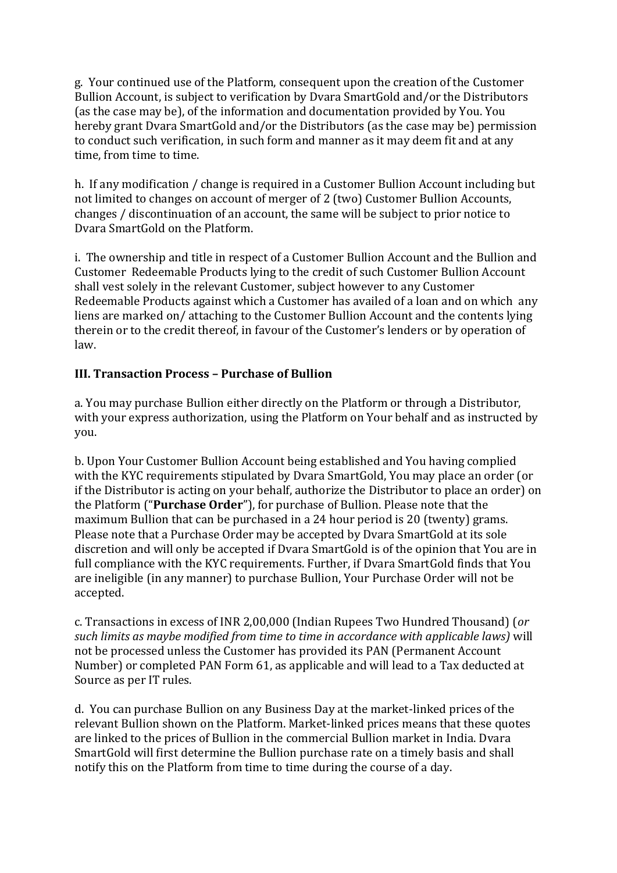g. Your continued use of the Platform, consequent upon the creation of the Customer Bullion Account, is subject to verification by Dvara SmartGold and/or the Distributors (as the case may be), of the information and documentation provided by You. You hereby grant Dvara SmartGold and/or the Distributors (as the case may be) permission to conduct such verification, in such form and manner as it may deem fit and at any time, from time to time.

h. If any modification / change is required in a Customer Bullion Account including but not limited to changes on account of merger of 2 (two) Customer Bullion Accounts, changes / discontinuation of an account, the same will be subject to prior notice to Dvara SmartGold on the Platform.

i. The ownership and title in respect of a Customer Bullion Account and the Bullion and Customer Redeemable Products lying to the credit of such Customer Bullion Account shall vest solely in the relevant Customer, subject however to any Customer Redeemable Products against which a Customer has availed of a loan and on which any liens are marked on/ attaching to the Customer Bullion Account and the contents lying therein or to the credit thereof, in favour of the Customer's lenders or by operation of law.

### **III. Transaction Process – Purchase of Bullion**

a. You may purchase Bullion either directly on the Platform or through a Distributor, with your express authorization, using the Platform on Your behalf and as instructed by you.

b. Upon Your Customer Bullion Account being established and You having complied with the KYC requirements stipulated by Dvara SmartGold, You may place an order (or if the Distributor is acting on your behalf, authorize the Distributor to place an order) on the Platform ("**Purchase Order**"), for purchase of Bullion. Please note that the maximum Bullion that can be purchased in a 24 hour period is 20 (twenty) grams. Please note that a Purchase Order may be accepted by Dvara SmartGold at its sole discretion and will only be accepted if Dvara SmartGold is of the opinion that You are in full compliance with the KYC requirements. Further, if Dvara SmartGold finds that You are ineligible (in any manner) to purchase Bullion, Your Purchase Order will not be accepted.

c. Transactions in excess of INR 2,00,000 (Indian Rupees Two Hundred Thousand) (*or such limits as maybe modified from time to time in accordance with applicable laws)* will not be processed unless the Customer has provided its PAN (Permanent Account Number) or completed PAN Form 61, as applicable and will lead to a Tax deducted at Source as per IT rules.

d. You can purchase Bullion on any Business Day at the market-linked prices of the relevant Bullion shown on the Platform. Market-linked prices means that these quotes are linked to the prices of Bullion in the commercial Bullion market in India. Dvara SmartGold will first determine the Bullion purchase rate on a timely basis and shall notify this on the Platform from time to time during the course of a day.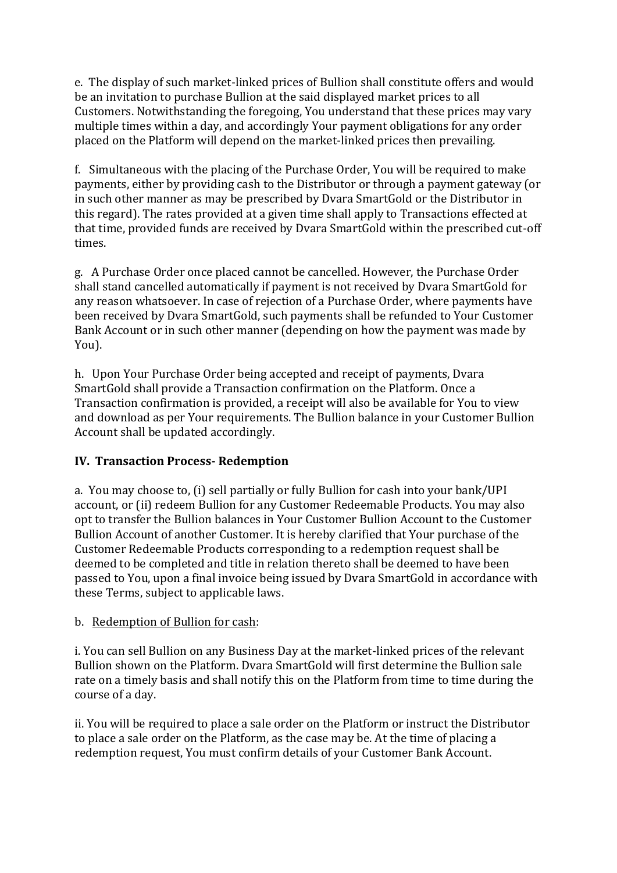e. The display of such market-linked prices of Bullion shall constitute offers and would be an invitation to purchase Bullion at the said displayed market prices to all Customers. Notwithstanding the foregoing, You understand that these prices may vary multiple times within a day, and accordingly Your payment obligations for any order placed on the Platform will depend on the market-linked prices then prevailing.

f. Simultaneous with the placing of the Purchase Order, You will be required to make payments, either by providing cash to the Distributor or through a payment gateway (or in such other manner as may be prescribed by Dvara SmartGold or the Distributor in this regard). The rates provided at a given time shall apply to Transactions effected at that time, provided funds are received by Dvara SmartGold within the prescribed cut-off times.

g. A Purchase Order once placed cannot be cancelled. However, the Purchase Order shall stand cancelled automatically if payment is not received by Dvara SmartGold for any reason whatsoever. In case of rejection of a Purchase Order, where payments have been received by Dvara SmartGold, such payments shall be refunded to Your Customer Bank Account or in such other manner (depending on how the payment was made by You).

h. Upon Your Purchase Order being accepted and receipt of payments, Dvara SmartGold shall provide a Transaction confirmation on the Platform. Once a Transaction confirmation is provided, a receipt will also be available for You to view and download as per Your requirements. The Bullion balance in your Customer Bullion Account shall be updated accordingly.

### **IV. Transaction Process- Redemption**

a. You may choose to, (i) sell partially or fully Bullion for cash into your bank/UPI account, or (ii) redeem Bullion for any Customer Redeemable Products. You may also opt to transfer the Bullion balances in Your Customer Bullion Account to the Customer Bullion Account of another Customer. It is hereby clarified that Your purchase of the Customer Redeemable Products corresponding to a redemption request shall be deemed to be completed and title in relation thereto shall be deemed to have been passed to You, upon a final invoice being issued by Dvara SmartGold in accordance with these Terms, subject to applicable laws.

#### b. Redemption of Bullion for cash:

i. You can sell Bullion on any Business Day at the market-linked prices of the relevant Bullion shown on the Platform. Dvara SmartGold will first determine the Bullion sale rate on a timely basis and shall notify this on the Platform from time to time during the course of a day.

ii. You will be required to place a sale order on the Platform or instruct the Distributor to place a sale order on the Platform, as the case may be. At the time of placing a redemption request, You must confirm details of your Customer Bank Account.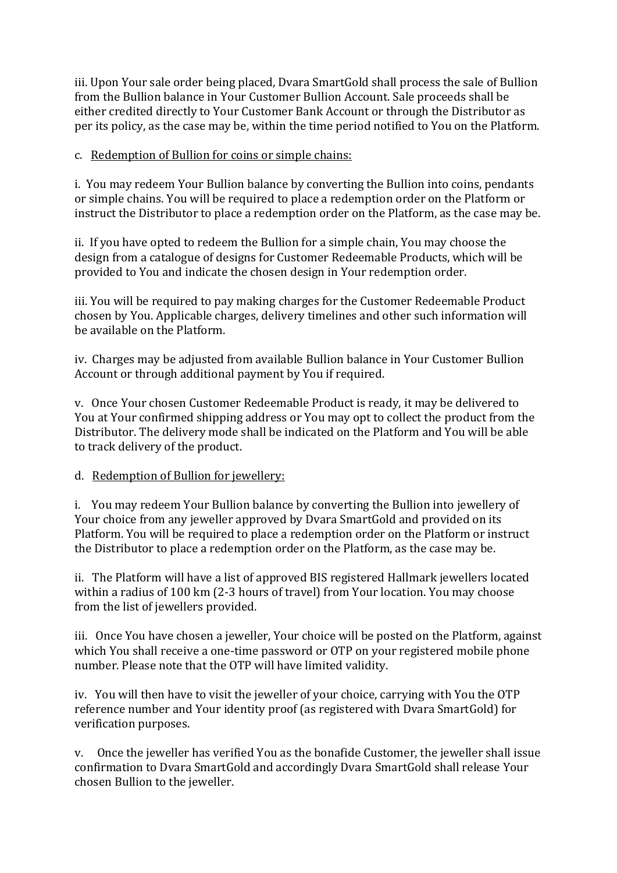iii. Upon Your sale order being placed, Dvara SmartGold shall process the sale of Bullion from the Bullion balance in Your Customer Bullion Account. Sale proceeds shall be either credited directly to Your Customer Bank Account or through the Distributor as per its policy, as the case may be, within the time period notified to You on the Platform.

#### c. Redemption of Bullion for coins or simple chains:

i. You may redeem Your Bullion balance by converting the Bullion into coins, pendants or simple chains. You will be required to place a redemption order on the Platform or instruct the Distributor to place a redemption order on the Platform, as the case may be.

ii. If you have opted to redeem the Bullion for a simple chain, You may choose the design from a catalogue of designs for Customer Redeemable Products, which will be provided to You and indicate the chosen design in Your redemption order.

iii. You will be required to pay making charges for the Customer Redeemable Product chosen by You. Applicable charges, delivery timelines and other such information will be available on the Platform.

iv. Charges may be adjusted from available Bullion balance in Your Customer Bullion Account or through additional payment by You if required.

v. Once Your chosen Customer Redeemable Product is ready, it may be delivered to You at Your confirmed shipping address or You may opt to collect the product from the Distributor. The delivery mode shall be indicated on the Platform and You will be able to track delivery of the product.

### d. Redemption of Bullion for jewellery:

i. You may redeem Your Bullion balance by converting the Bullion into jewellery of Your choice from any jeweller approved by Dvara SmartGold and provided on its Platform. You will be required to place a redemption order on the Platform or instruct the Distributor to place a redemption order on the Platform, as the case may be.

ii. The Platform will have a list of approved BIS registered Hallmark jewellers located within a radius of 100 km (2-3 hours of travel) from Your location. You may choose from the list of jewellers provided.

iii. Once You have chosen a jeweller, Your choice will be posted on the Platform, against which You shall receive a one-time password or OTP on your registered mobile phone number. Please note that the OTP will have limited validity.

iv. You will then have to visit the jeweller of your choice, carrying with You the OTP reference number and Your identity proof (as registered with Dvara SmartGold) for verification purposes.

v. Once the jeweller has verified You as the bonafide Customer, the jeweller shall issue confirmation to Dvara SmartGold and accordingly Dvara SmartGold shall release Your chosen Bullion to the jeweller.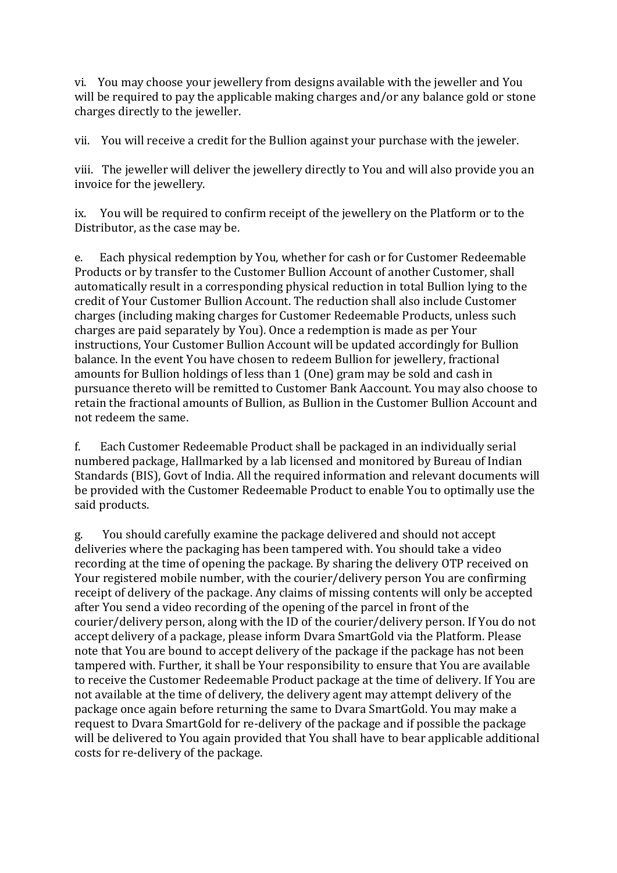vi. You may choose your jewellery from designs available with the jeweller and You will be required to pay the applicable making charges and/or any balance gold or stone charges directly to the jeweller.

vii. You will receive a credit for the Bullion against your purchase with the jeweler.

viii. The jeweller will deliver the jewellery directly to You and will also provide you an invoice for the jewellery.

ix. You will be required to confirm receipt of the jewellery on the Platform or to the Distributor, as the case may be.

e. Each physical redemption by You, whether for cash or for Customer Redeemable Products or by transfer to the Customer Bullion Account of another Customer, shall automatically result in a corresponding physical reduction in total Bullion lying to the credit of Your Customer Bullion Account. The reduction shall also include Customer charges (including making charges for Customer Redeemable Products, unless such charges are paid separately by You). Once a redemption is made as per Your instructions, Your Customer Bullion Account will be updated accordingly for Bullion balance. In the event You have chosen to redeem Bullion for jewellery, fractional amounts for Bullion holdings of less than 1 (One) gram may be sold and cash in pursuance thereto will be remitted to Customer Bank Aaccount. You may also choose to retain the fractional amounts of Bullion, as Bullion in the Customer Bullion Account and not redeem the same.

f. Each Customer Redeemable Product shall be packaged in an individually serial numbered package, Hallmarked by a lab licensed and monitored by Bureau of Indian Standards (BIS), Govt of India. All the required information and relevant documents will be provided with the Customer Redeemable Product to enable You to optimally use the said products.

g. You should carefully examine the package delivered and should not accept deliveries where the packaging has been tampered with. You should take a video recording at the time of opening the package. By sharing the delivery OTP received on Your registered mobile number, with the courier/delivery person You are confirming receipt of delivery of the package. Any claims of missing contents will only be accepted after You send a video recording of the opening of the parcel in front of the courier/delivery person, along with the ID of the courier/delivery person. If You do not accept delivery of a package, please inform Dvara SmartGold via the Platform. Please note that You are bound to accept delivery of the package if the package has not been tampered with. Further, it shall be Your responsibility to ensure that You are available to receive the Customer Redeemable Product package at the time of delivery. If You are not available at the time of delivery, the delivery agent may attempt delivery of the package once again before returning the same to Dvara SmartGold. You may make a request to Dvara SmartGold for re-delivery of the package and if possible the package will be delivered to You again provided that You shall have to bear applicable additional costs for re-delivery of the package.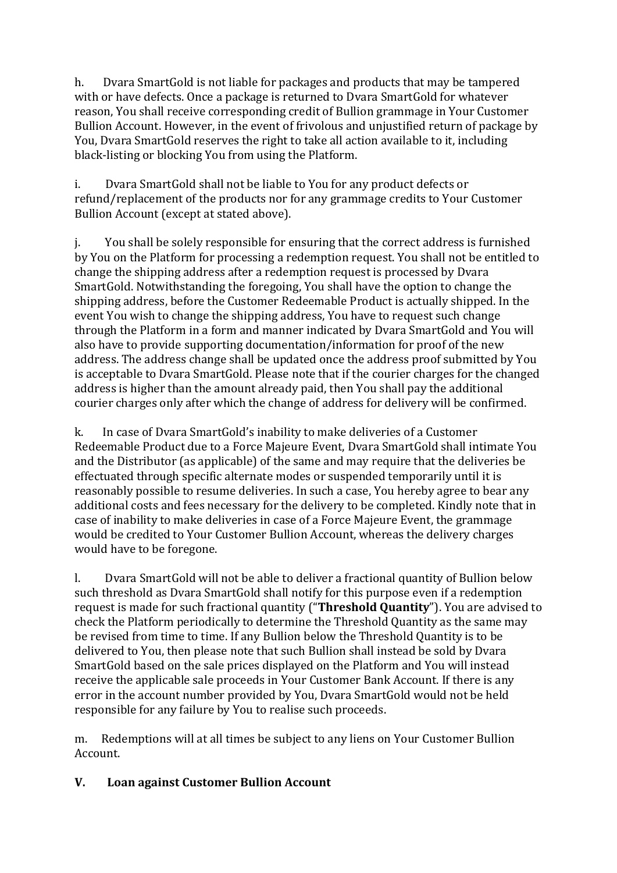h. Dvara SmartGold is not liable for packages and products that may be tampered with or have defects. Once a package is returned to Dvara SmartGold for whatever reason, You shall receive corresponding credit of Bullion grammage in Your Customer Bullion Account. However, in the event of frivolous and unjustified return of package by You, Dvara SmartGold reserves the right to take all action available to it, including black-listing or blocking You from using the Platform.

i. Dvara SmartGold shall not be liable to You for any product defects or refund/replacement of the products nor for any grammage credits to Your Customer Bullion Account (except at stated above).

j. You shall be solely responsible for ensuring that the correct address is furnished by You on the Platform for processing a redemption request. You shall not be entitled to change the shipping address after a redemption request is processed by Dvara SmartGold. Notwithstanding the foregoing, You shall have the option to change the shipping address, before the Customer Redeemable Product is actually shipped. In the event You wish to change the shipping address, You have to request such change through the Platform in a form and manner indicated by Dvara SmartGold and You will also have to provide supporting documentation/information for proof of the new address. The address change shall be updated once the address proof submitted by You is acceptable to Dvara SmartGold. Please note that if the courier charges for the changed address is higher than the amount already paid, then You shall pay the additional courier charges only after which the change of address for delivery will be confirmed.

k. In case of Dvara SmartGold's inability to make deliveries of a Customer Redeemable Product due to a Force Majeure Event, Dvara SmartGold shall intimate You and the Distributor (as applicable) of the same and may require that the deliveries be effectuated through specific alternate modes or suspended temporarily until it is reasonably possible to resume deliveries. In such a case, You hereby agree to bear any additional costs and fees necessary for the delivery to be completed. Kindly note that in case of inability to make deliveries in case of a Force Majeure Event, the grammage would be credited to Your Customer Bullion Account, whereas the delivery charges would have to be foregone.

l. Dvara SmartGold will not be able to deliver a fractional quantity of Bullion below such threshold as Dvara SmartGold shall notify for this purpose even if a redemption request is made for such fractional quantity ("**Threshold Quantity**"). You are advised to check the Platform periodically to determine the Threshold Quantity as the same may be revised from time to time. If any Bullion below the Threshold Quantity is to be delivered to You, then please note that such Bullion shall instead be sold by Dvara SmartGold based on the sale prices displayed on the Platform and You will instead receive the applicable sale proceeds in Your Customer Bank Account. If there is any error in the account number provided by You, Dvara SmartGold would not be held responsible for any failure by You to realise such proceeds.

m. Redemptions will at all times be subject to any liens on Your Customer Bullion Account.

### **V. Loan against Customer Bullion Account**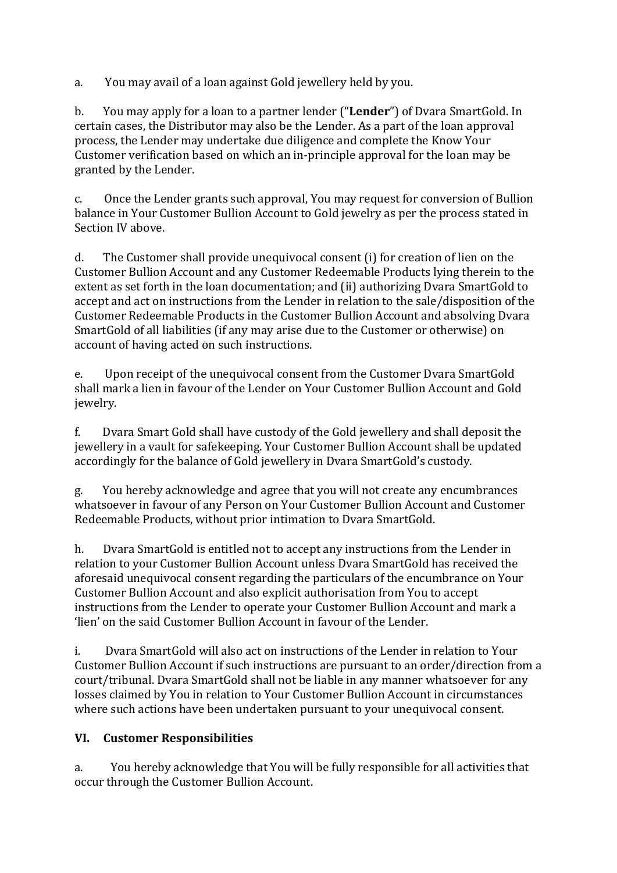a. You may avail of a loan against Gold jewellery held by you.

b. You may apply for a loan to a partner lender ("**Lender**") of Dvara SmartGold. In certain cases, the Distributor may also be the Lender. As a part of the loan approval process, the Lender may undertake due diligence and complete the Know Your Customer verification based on which an in-principle approval for the loan may be granted by the Lender.

c. Once the Lender grants such approval, You may request for conversion of Bullion balance in Your Customer Bullion Account to Gold jewelry as per the process stated in Section IV above.

d. The Customer shall provide unequivocal consent (i) for creation of lien on the Customer Bullion Account and any Customer Redeemable Products lying therein to the extent as set forth in the loan documentation; and (ii) authorizing Dvara SmartGold to accept and act on instructions from the Lender in relation to the sale/disposition of the Customer Redeemable Products in the Customer Bullion Account and absolving Dvara SmartGold of all liabilities (if any may arise due to the Customer or otherwise) on account of having acted on such instructions.

e. Upon receipt of the unequivocal consent from the Customer Dvara SmartGold shall mark a lien in favour of the Lender on Your Customer Bullion Account and Gold jewelry.

f. Dvara Smart Gold shall have custody of the Gold jewellery and shall deposit the jewellery in a vault for safekeeping. Your Customer Bullion Account shall be updated accordingly for the balance of Gold jewellery in Dvara SmartGold's custody.

g. You hereby acknowledge and agree that you will not create any encumbrances whatsoever in favour of any Person on Your Customer Bullion Account and Customer Redeemable Products, without prior intimation to Dvara SmartGold.

h. Dvara SmartGold is entitled not to accept any instructions from the Lender in relation to your Customer Bullion Account unless Dvara SmartGold has received the aforesaid unequivocal consent regarding the particulars of the encumbrance on Your Customer Bullion Account and also explicit authorisation from You to accept instructions from the Lender to operate your Customer Bullion Account and mark a 'lien' on the said Customer Bullion Account in favour of the Lender.

i. Dvara SmartGold will also act on instructions of the Lender in relation to Your Customer Bullion Account if such instructions are pursuant to an order/direction from a court/tribunal. Dvara SmartGold shall not be liable in any manner whatsoever for any losses claimed by You in relation to Your Customer Bullion Account in circumstances where such actions have been undertaken pursuant to your unequivocal consent.

# **VI. Customer Responsibilities**

a. You hereby acknowledge that You will be fully responsible for all activities that occur through the Customer Bullion Account.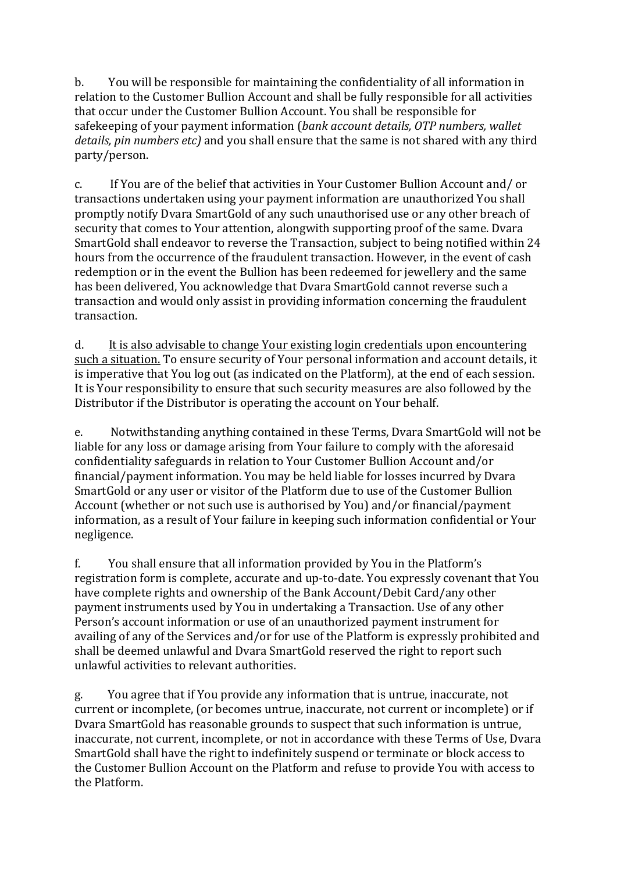b. You will be responsible for maintaining the confidentiality of all information in relation to the Customer Bullion Account and shall be fully responsible for all activities that occur under the Customer Bullion Account. You shall be responsible for safekeeping of your payment information (*bank account details, OTP numbers, wallet details, pin numbers etc)* and you shall ensure that the same is not shared with any third party/person.

c. If You are of the belief that activities in Your Customer Bullion Account and/ or transactions undertaken using your payment information are unauthorized You shall promptly notify Dvara SmartGold of any such unauthorised use or any other breach of security that comes to Your attention, alongwith supporting proof of the same. Dvara SmartGold shall endeavor to reverse the Transaction, subject to being notified within 24 hours from the occurrence of the fraudulent transaction. However, in the event of cash redemption or in the event the Bullion has been redeemed for jewellery and the same has been delivered, You acknowledge that Dvara SmartGold cannot reverse such a transaction and would only assist in providing information concerning the fraudulent transaction.

d. It is also advisable to change Your existing login credentials upon encountering such a situation. To ensure security of Your personal information and account details, it is imperative that You log out (as indicated on the Platform), at the end of each session. It is Your responsibility to ensure that such security measures are also followed by the Distributor if the Distributor is operating the account on Your behalf.

e. Notwithstanding anything contained in these Terms, Dvara SmartGold will not be liable for any loss or damage arising from Your failure to comply with the aforesaid confidentiality safeguards in relation to Your Customer Bullion Account and/or financial/payment information. You may be held liable for losses incurred by Dvara SmartGold or any user or visitor of the Platform due to use of the Customer Bullion Account (whether or not such use is authorised by You) and/or financial/payment information, as a result of Your failure in keeping such information confidential or Your negligence.

f. You shall ensure that all information provided by You in the Platform's registration form is complete, accurate and up-to-date. You expressly covenant that You have complete rights and ownership of the Bank Account/Debit Card/any other payment instruments used by You in undertaking a Transaction. Use of any other Person's account information or use of an unauthorized payment instrument for availing of any of the Services and/or for use of the Platform is expressly prohibited and shall be deemed unlawful and Dvara SmartGold reserved the right to report such unlawful activities to relevant authorities.

g. You agree that if You provide any information that is untrue, inaccurate, not current or incomplete, (or becomes untrue, inaccurate, not current or incomplete) or if Dvara SmartGold has reasonable grounds to suspect that such information is untrue, inaccurate, not current, incomplete, or not in accordance with these Terms of Use, Dvara SmartGold shall have the right to indefinitely suspend or terminate or block access to the Customer Bullion Account on the Platform and refuse to provide You with access to the Platform.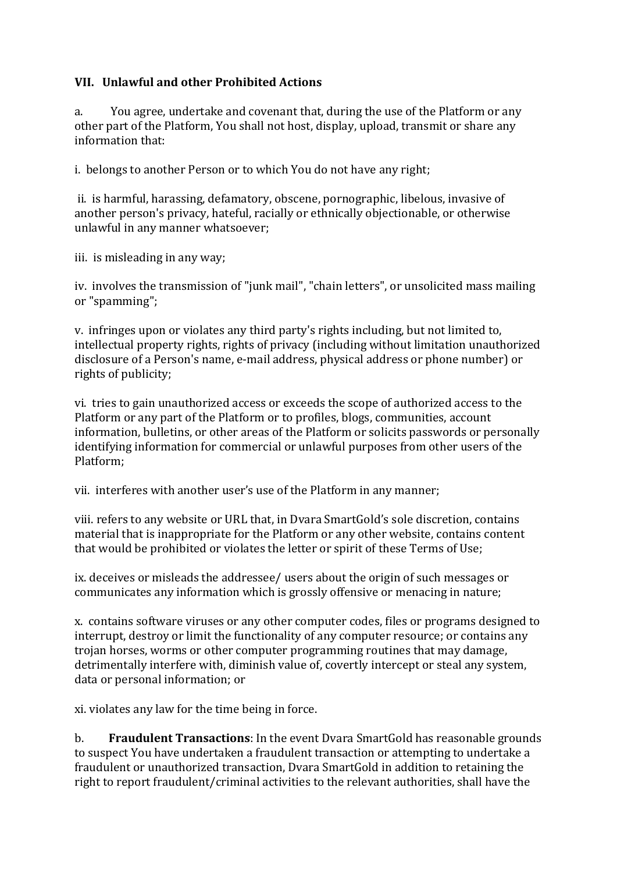### **VII. Unlawful and other Prohibited Actions**

a. You agree, undertake and covenant that, during the use of the Platform or any other part of the Platform, You shall not host, display, upload, transmit or share any information that:

i. belongs to another Person or to which You do not have any right;

ii. is harmful, harassing, defamatory, obscene, pornographic, libelous, invasive of another person's privacy, hateful, racially or ethnically objectionable, or otherwise unlawful in any manner whatsoever;

iii. is misleading in any way;

iv. involves the transmission of "junk mail", "chain letters", or unsolicited mass mailing or "spamming";

v. infringes upon or violates any third party's rights including, but not limited to, intellectual property rights, rights of privacy (including without limitation unauthorized disclosure of a Person's name, e-mail address, physical address or phone number) or rights of publicity;

vi. tries to gain unauthorized access or exceeds the scope of authorized access to the Platform or any part of the Platform or to profiles, blogs, communities, account information, bulletins, or other areas of the Platform or solicits passwords or personally identifying information for commercial or unlawful purposes from other users of the Platform;

vii. interferes with another user's use of the Platform in any manner;

viii. refers to any website or URL that, in Dvara SmartGold's sole discretion, contains material that is inappropriate for the Platform or any other website, contains content that would be prohibited or violates the letter or spirit of these Terms of Use;

ix. deceives or misleads the addressee/ users about the origin of such messages or communicates any information which is grossly offensive or menacing in nature;

x. contains software viruses or any other computer codes, files or programs designed to interrupt, destroy or limit the functionality of any computer resource; or contains any trojan horses, worms or other computer programming routines that may damage, detrimentally interfere with, diminish value of, covertly intercept or steal any system, data or personal information; or

xi. violates any law for the time being in force.

b. **Fraudulent Transactions**: In the event Dvara SmartGold has reasonable grounds to suspect You have undertaken a fraudulent transaction or attempting to undertake a fraudulent or unauthorized transaction, Dvara SmartGold in addition to retaining the right to report fraudulent/criminal activities to the relevant authorities, shall have the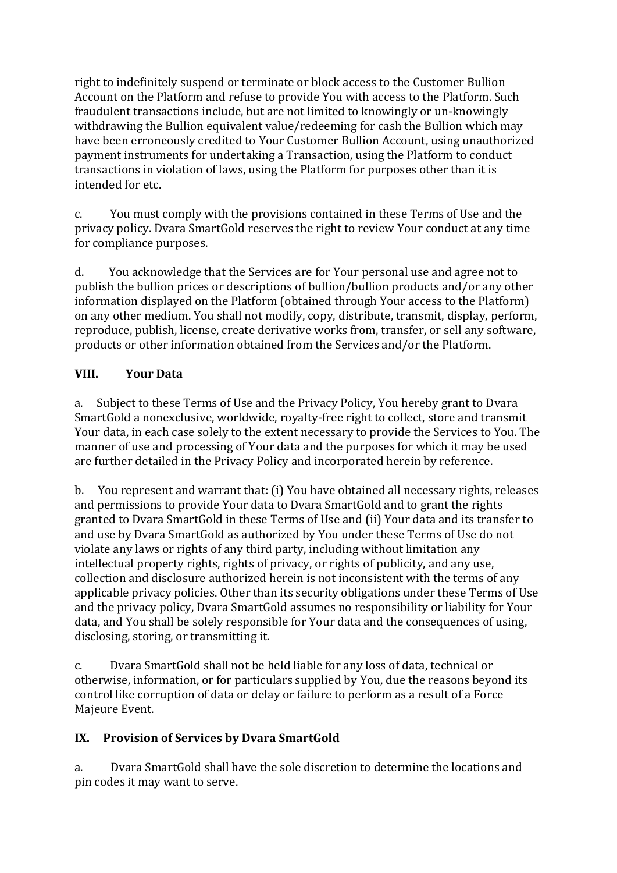right to indefinitely suspend or terminate or block access to the Customer Bullion Account on the Platform and refuse to provide You with access to the Platform. Such fraudulent transactions include, but are not limited to knowingly or un-knowingly withdrawing the Bullion equivalent value/redeeming for cash the Bullion which may have been erroneously credited to Your Customer Bullion Account, using unauthorized payment instruments for undertaking a Transaction, using the Platform to conduct transactions in violation of laws, using the Platform for purposes other than it is intended for etc.

c. You must comply with the provisions contained in these Terms of Use and the privacy policy. Dvara SmartGold reserves the right to review Your conduct at any time for compliance purposes.

d. You acknowledge that the Services are for Your personal use and agree not to publish the bullion prices or descriptions of bullion/bullion products and/or any other information displayed on the Platform (obtained through Your access to the Platform) on any other medium. You shall not modify, copy, distribute, transmit, display, perform, reproduce, publish, license, create derivative works from, transfer, or sell any software, products or other information obtained from the Services and/or the Platform.

### **VIII. Your Data**

a. Subject to these Terms of Use and the Privacy Policy, You hereby grant to Dvara SmartGold a nonexclusive, worldwide, royalty-free right to collect, store and transmit Your data, in each case solely to the extent necessary to provide the Services to You. The manner of use and processing of Your data and the purposes for which it may be used are further detailed in the Privacy Policy and incorporated herein by reference.

b. You represent and warrant that: (i) You have obtained all necessary rights, releases and permissions to provide Your data to Dvara SmartGold and to grant the rights granted to Dvara SmartGold in these Terms of Use and (ii) Your data and its transfer to and use by Dvara SmartGold as authorized by You under these Terms of Use do not violate any laws or rights of any third party, including without limitation any intellectual property rights, rights of privacy, or rights of publicity, and any use, collection and disclosure authorized herein is not inconsistent with the terms of any applicable privacy policies. Other than its security obligations under these Terms of Use and the privacy policy, Dvara SmartGold assumes no responsibility or liability for Your data, and You shall be solely responsible for Your data and the consequences of using, disclosing, storing, or transmitting it.

c. Dvara SmartGold shall not be held liable for any loss of data, technical or otherwise, information, or for particulars supplied by You, due the reasons beyond its control like corruption of data or delay or failure to perform as a result of a Force Majeure Event.

### **IX. Provision of Services by Dvara SmartGold**

a. Dvara SmartGold shall have the sole discretion to determine the locations and pin codes it may want to serve.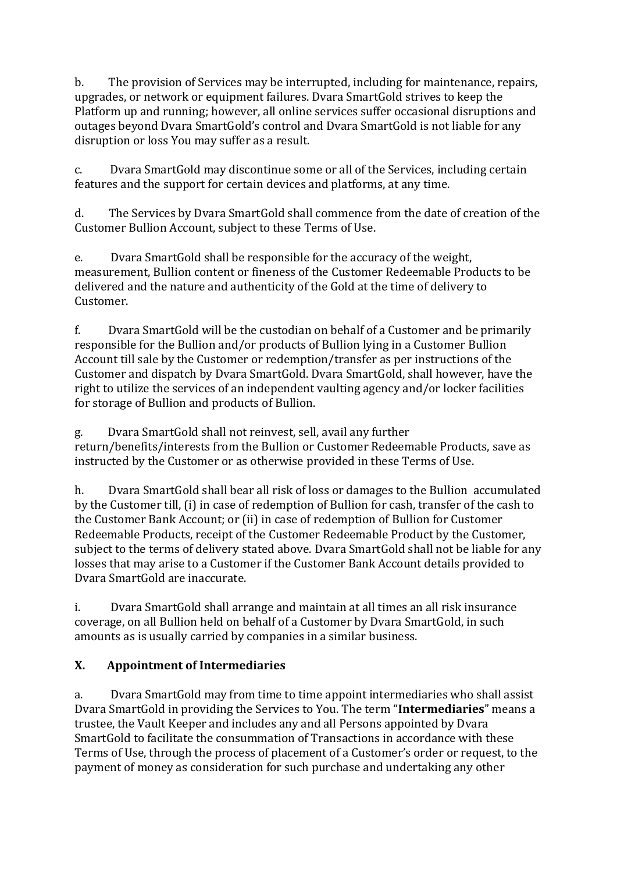b. The provision of Services may be interrupted, including for maintenance, repairs, upgrades, or network or equipment failures. Dvara SmartGold strives to keep the Platform up and running; however, all online services suffer occasional disruptions and outages beyond Dvara SmartGold's control and Dvara SmartGold is not liable for any disruption or loss You may suffer as a result.

c. Dvara SmartGold may discontinue some or all of the Services, including certain features and the support for certain devices and platforms, at any time.

d. The Services by Dvara SmartGold shall commence from the date of creation of the Customer Bullion Account, subject to these Terms of Use.

e. Dvara SmartGold shall be responsible for the accuracy of the weight, measurement, Bullion content or fineness of the Customer Redeemable Products to be delivered and the nature and authenticity of the Gold at the time of delivery to Customer.

f. Dvara SmartGold will be the custodian on behalf of a Customer and be primarily responsible for the Bullion and/or products of Bullion lying in a Customer Bullion Account till sale by the Customer or redemption/transfer as per instructions of the Customer and dispatch by Dvara SmartGold. Dvara SmartGold, shall however, have the right to utilize the services of an independent vaulting agency and/or locker facilities for storage of Bullion and products of Bullion.

g. Dvara SmartGold shall not reinvest, sell, avail any further return/benefits/interests from the Bullion or Customer Redeemable Products, save as instructed by the Customer or as otherwise provided in these Terms of Use.

h. Dvara SmartGold shall bear all risk of loss or damages to the Bullion accumulated by the Customer till, (i) in case of redemption of Bullion for cash, transfer of the cash to the Customer Bank Account; or (ii) in case of redemption of Bullion for Customer Redeemable Products, receipt of the Customer Redeemable Product by the Customer, subject to the terms of delivery stated above. Dvara SmartGold shall not be liable for any losses that may arise to a Customer if the Customer Bank Account details provided to Dvara SmartGold are inaccurate.

i. Dvara SmartGold shall arrange and maintain at all times an all risk insurance coverage, on all Bullion held on behalf of a Customer by Dvara SmartGold, in such amounts as is usually carried by companies in a similar business.

# **X. Appointment of Intermediaries**

a. Dvara SmartGold may from time to time appoint intermediaries who shall assist Dvara SmartGold in providing the Services to You. The term "**Intermediaries**" means a trustee, the Vault Keeper and includes any and all Persons appointed by Dvara SmartGold to facilitate the consummation of Transactions in accordance with these Terms of Use, through the process of placement of a Customer's order or request, to the payment of money as consideration for such purchase and undertaking any other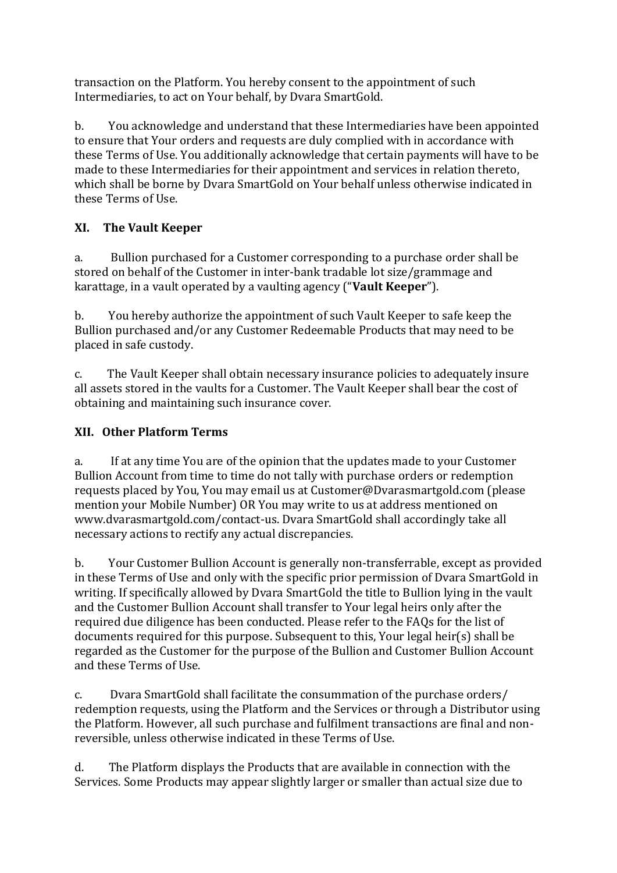transaction on the Platform. You hereby consent to the appointment of such Intermediaries, to act on Your behalf, by Dvara SmartGold.

b. You acknowledge and understand that these Intermediaries have been appointed to ensure that Your orders and requests are duly complied with in accordance with these Terms of Use. You additionally acknowledge that certain payments will have to be made to these Intermediaries for their appointment and services in relation thereto, which shall be borne by Dvara SmartGold on Your behalf unless otherwise indicated in these Terms of Use.

# **XI. The Vault Keeper**

a. Bullion purchased for a Customer corresponding to a purchase order shall be stored on behalf of the Customer in inter-bank tradable lot size/grammage and karattage, in a vault operated by a vaulting agency ("**Vault Keeper**").

b. You hereby authorize the appointment of such Vault Keeper to safe keep the Bullion purchased and/or any Customer Redeemable Products that may need to be placed in safe custody.

c. The Vault Keeper shall obtain necessary insurance policies to adequately insure all assets stored in the vaults for a Customer. The Vault Keeper shall bear the cost of obtaining and maintaining such insurance cover.

# **XII. Other Platform Terms**

a. If at any time You are of the opinion that the updates made to your Customer Bullion Account from time to time do not tally with purchase orders or redemption requests placed by You, You may email us at Customer@Dvarasmartgold.com (please mention your Mobile Number) OR You may write to us at address mentioned on www.dvarasmartgold.com/contact-us. Dvara SmartGold shall accordingly take all necessary actions to rectify any actual discrepancies.

b. Your Customer Bullion Account is generally non-transferrable, except as provided in these Terms of Use and only with the specific prior permission of Dvara SmartGold in writing. If specifically allowed by Dvara SmartGold the title to Bullion lying in the vault and the Customer Bullion Account shall transfer to Your legal heirs only after the required due diligence has been conducted. Please refer to the FAQs for the list of documents required for this purpose. Subsequent to this, Your legal heir(s) shall be regarded as the Customer for the purpose of the Bullion and Customer Bullion Account and these Terms of Use.

c. Dvara SmartGold shall facilitate the consummation of the purchase orders/ redemption requests, using the Platform and the Services or through a Distributor using the Platform. However, all such purchase and fulfilment transactions are final and nonreversible, unless otherwise indicated in these Terms of Use.

d. The Platform displays the Products that are available in connection with the Services. Some Products may appear slightly larger or smaller than actual size due to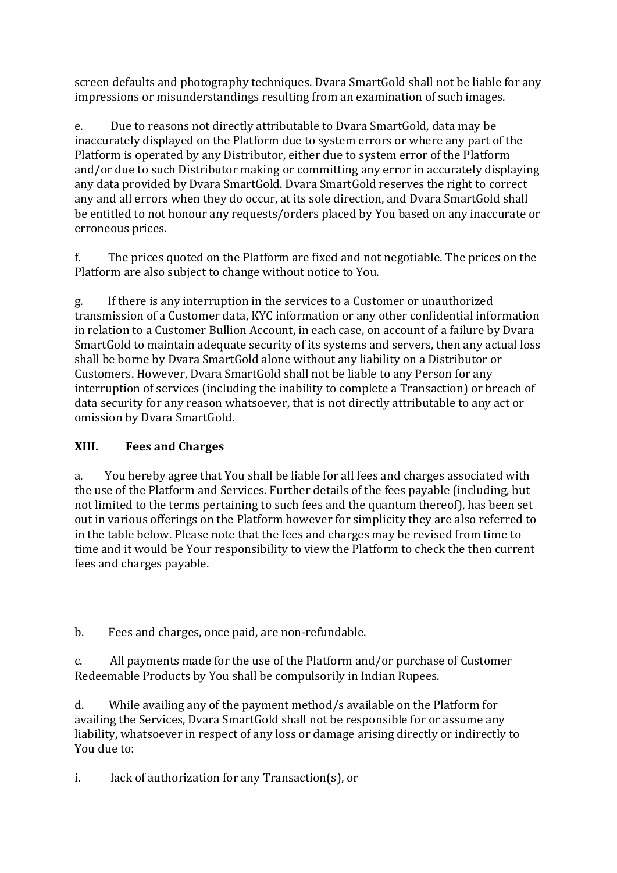screen defaults and photography techniques. Dvara SmartGold shall not be liable for any impressions or misunderstandings resulting from an examination of such images.

e. Due to reasons not directly attributable to Dvara SmartGold, data may be inaccurately displayed on the Platform due to system errors or where any part of the Platform is operated by any Distributor, either due to system error of the Platform and/or due to such Distributor making or committing any error in accurately displaying any data provided by Dvara SmartGold. Dvara SmartGold reserves the right to correct any and all errors when they do occur, at its sole direction, and Dvara SmartGold shall be entitled to not honour any requests/orders placed by You based on any inaccurate or erroneous prices.

f. The prices quoted on the Platform are fixed and not negotiable. The prices on the Platform are also subject to change without notice to You.

g. If there is any interruption in the services to a Customer or unauthorized transmission of a Customer data, KYC information or any other confidential information in relation to a Customer Bullion Account, in each case, on account of a failure by Dvara SmartGold to maintain adequate security of its systems and servers, then any actual loss shall be borne by Dvara SmartGold alone without any liability on a Distributor or Customers. However, Dvara SmartGold shall not be liable to any Person for any interruption of services (including the inability to complete a Transaction) or breach of data security for any reason whatsoever, that is not directly attributable to any act or omission by Dvara SmartGold.

# **XIII. Fees and Charges**

a. You hereby agree that You shall be liable for all fees and charges associated with the use of the Platform and Services. Further details of the fees payable (including, but not limited to the terms pertaining to such fees and the quantum thereof), has been set out in various offerings on the Platform however for simplicity they are also referred to in the table below. Please note that the fees and charges may be revised from time to time and it would be Your responsibility to view the Platform to check the then current fees and charges payable.

b. Fees and charges, once paid, are non-refundable.

c. All payments made for the use of the Platform and/or purchase of Customer Redeemable Products by You shall be compulsorily in Indian Rupees.

d. While availing any of the payment method/s available on the Platform for availing the Services, Dvara SmartGold shall not be responsible for or assume any liability, whatsoever in respect of any loss or damage arising directly or indirectly to You due to:

i. lack of authorization for any Transaction(s), or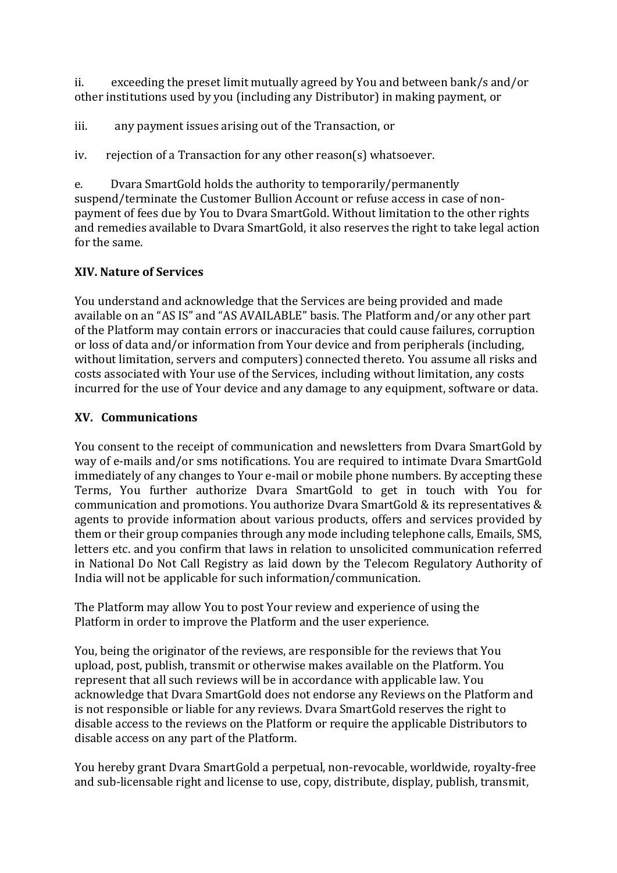ii. exceeding the preset limit mutually agreed by You and between bank/s and/or other institutions used by you (including any Distributor) in making payment, or

iii. any payment issues arising out of the Transaction, or

iv. rejection of a Transaction for any other reason(s) whatsoever.

e. Dvara SmartGold holds the authority to temporarily/permanently suspend/terminate the Customer Bullion Account or refuse access in case of nonpayment of fees due by You to Dvara SmartGold. Without limitation to the other rights and remedies available to Dvara SmartGold, it also reserves the right to take legal action for the same.

### **XIV. Nature of Services**

You understand and acknowledge that the Services are being provided and made available on an "AS IS" and "AS AVAILABLE" basis. The Platform and/or any other part of the Platform may contain errors or inaccuracies that could cause failures, corruption or loss of data and/or information from Your device and from peripherals (including, without limitation, servers and computers) connected thereto. You assume all risks and costs associated with Your use of the Services, including without limitation, any costs incurred for the use of Your device and any damage to any equipment, software or data.

#### **XV. Communications**

You consent to the receipt of communication and newsletters from Dvara SmartGold by way of e-mails and/or sms notifications. You are required to intimate Dvara SmartGold immediately of any changes to Your e-mail or mobile phone numbers. By accepting these Terms, You further authorize Dvara SmartGold to get in touch with You for communication and promotions. You authorize Dvara SmartGold & its representatives & agents to provide information about various products, offers and services provided by them or their group companies through any mode including telephone calls, Emails, SMS, letters etc. and you confirm that laws in relation to unsolicited communication referred in National Do Not Call Registry as laid down by the Telecom Regulatory Authority of India will not be applicable for such information/communication.

The Platform may allow You to post Your review and experience of using the Platform in order to improve the Platform and the user experience.

You, being the originator of the reviews, are responsible for the reviews that You upload, post, publish, transmit or otherwise makes available on the Platform. You represent that all such reviews will be in accordance with applicable law. You acknowledge that Dvara SmartGold does not endorse any Reviews on the Platform and is not responsible or liable for any reviews. Dvara SmartGold reserves the right to disable access to the reviews on the Platform or require the applicable Distributors to disable access on any part of the Platform.

You hereby grant Dvara SmartGold a perpetual, non-revocable, worldwide, royalty-free and sub-licensable right and license to use, copy, distribute, display, publish, transmit,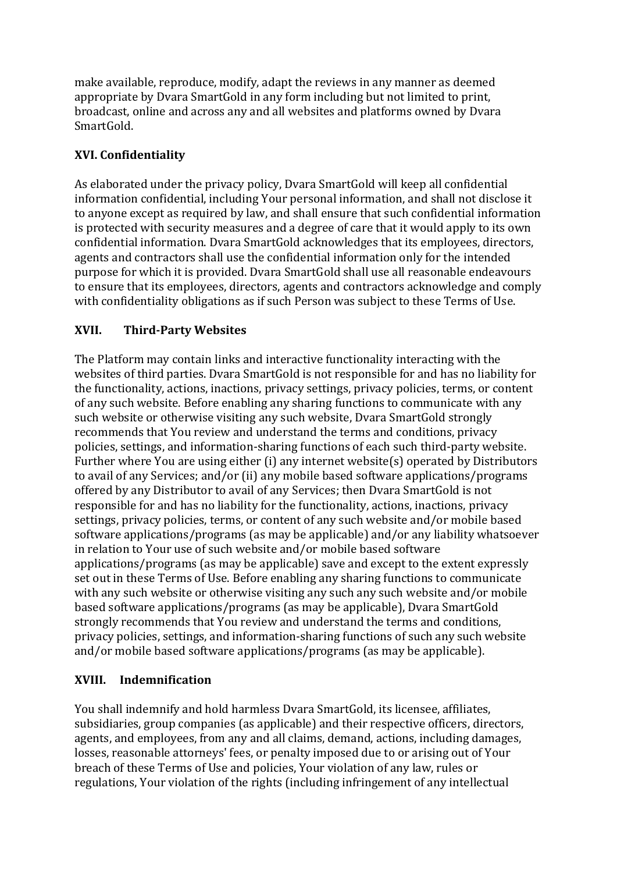make available, reproduce, modify, adapt the reviews in any manner as deemed appropriate by Dvara SmartGold in any form including but not limited to print, broadcast, online and across any and all websites and platforms owned by Dvara SmartGold.

# **XVI. Confidentiality**

As elaborated under the privacy policy, Dvara SmartGold will keep all confidential information confidential, including Your personal information, and shall not disclose it to anyone except as required by law, and shall ensure that such confidential information is protected with security measures and a degree of care that it would apply to its own confidential information. Dvara SmartGold acknowledges that its employees, directors, agents and contractors shall use the confidential information only for the intended purpose for which it is provided. Dvara SmartGold shall use all reasonable endeavours to ensure that its employees, directors, agents and contractors acknowledge and comply with confidentiality obligations as if such Person was subject to these Terms of Use.

# **XVII. Third-Party Websites**

The Platform may contain links and interactive functionality interacting with the websites of third parties. Dvara SmartGold is not responsible for and has no liability for the functionality, actions, inactions, privacy settings, privacy policies, terms, or content of any such website. Before enabling any sharing functions to communicate with any such website or otherwise visiting any such website, Dvara SmartGold strongly recommends that You review and understand the terms and conditions, privacy policies, settings, and information-sharing functions of each such third-party website. Further where You are using either (i) any internet website(s) operated by Distributors to avail of any Services; and/or (ii) any mobile based software applications/programs offered by any Distributor to avail of any Services; then Dvara SmartGold is not responsible for and has no liability for the functionality, actions, inactions, privacy settings, privacy policies, terms, or content of any such website and/or mobile based software applications/programs (as may be applicable) and/or any liability whatsoever in relation to Your use of such website and/or mobile based software applications/programs (as may be applicable) save and except to the extent expressly set out in these Terms of Use. Before enabling any sharing functions to communicate with any such website or otherwise visiting any such any such website and/or mobile based software applications/programs (as may be applicable), Dvara SmartGold strongly recommends that You review and understand the terms and conditions, privacy policies, settings, and information-sharing functions of such any such website and/or mobile based software applications/programs (as may be applicable).

### **XVIII. Indemnification**

You shall indemnify and hold harmless Dvara SmartGold, its licensee, affiliates, subsidiaries, group companies (as applicable) and their respective officers, directors, agents, and employees, from any and all claims, demand, actions, including damages, losses, reasonable attorneys' fees, or penalty imposed due to or arising out of Your breach of these Terms of Use and policies, Your violation of any law, rules or regulations, Your violation of the rights (including infringement of any intellectual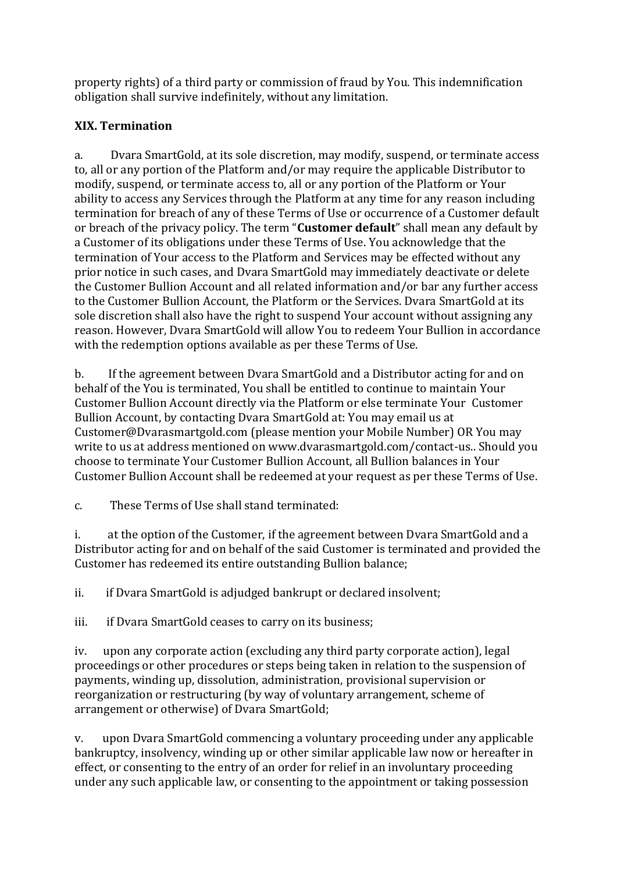property rights) of a third party or commission of fraud by You. This indemnification obligation shall survive indefinitely, without any limitation.

## **XIX. Termination**

a. Dvara SmartGold, at its sole discretion, may modify, suspend, or terminate access to, all or any portion of the Platform and/or may require the applicable Distributor to modify, suspend, or terminate access to, all or any portion of the Platform or Your ability to access any Services through the Platform at any time for any reason including termination for breach of any of these Terms of Use or occurrence of a Customer default or breach of the privacy policy. The term "**Customer default**" shall mean any default by a Customer of its obligations under these Terms of Use. You acknowledge that the termination of Your access to the Platform and Services may be effected without any prior notice in such cases, and Dvara SmartGold may immediately deactivate or delete the Customer Bullion Account and all related information and/or bar any further access to the Customer Bullion Account, the Platform or the Services. Dvara SmartGold at its sole discretion shall also have the right to suspend Your account without assigning any reason. However, Dvara SmartGold will allow You to redeem Your Bullion in accordance with the redemption options available as per these Terms of Use.

b. If the agreement between Dvara SmartGold and a Distributor acting for and on behalf of the You is terminated, You shall be entitled to continue to maintain Your Customer Bullion Account directly via the Platform or else terminate Your Customer Bullion Account, by contacting Dvara SmartGold at: You may email us at Customer@Dvarasmartgold.com (please mention your Mobile Number) OR You may write to us at address mentioned on www.dvarasmartgold.com/contact-us.. Should you choose to terminate Your Customer Bullion Account, all Bullion balances in Your Customer Bullion Account shall be redeemed at your request as per these Terms of Use.

c. These Terms of Use shall stand terminated:

i. at the option of the Customer, if the agreement between Dvara SmartGold and a Distributor acting for and on behalf of the said Customer is terminated and provided the Customer has redeemed its entire outstanding Bullion balance;

ii. if Dvara SmartGold is adjudged bankrupt or declared insolvent;

iii. if Dvara SmartGold ceases to carry on its business;

iv. upon any corporate action (excluding any third party corporate action), legal proceedings or other procedures or steps being taken in relation to the suspension of payments, winding up, dissolution, administration, provisional supervision or reorganization or restructuring (by way of voluntary arrangement, scheme of arrangement or otherwise) of Dvara SmartGold;

v. upon Dvara SmartGold commencing a voluntary proceeding under any applicable bankruptcy, insolvency, winding up or other similar applicable law now or hereafter in effect, or consenting to the entry of an order for relief in an involuntary proceeding under any such applicable law, or consenting to the appointment or taking possession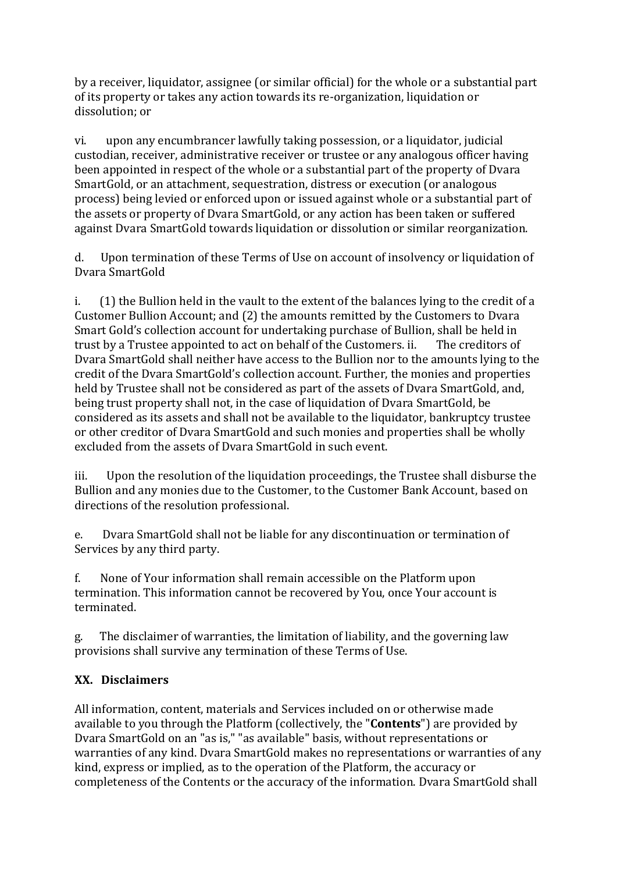by a receiver, liquidator, assignee (or similar official) for the whole or a substantial part of its property or takes any action towards its re-organization, liquidation or dissolution; or

vi. upon any encumbrancer lawfully taking possession, or a liquidator, judicial custodian, receiver, administrative receiver or trustee or any analogous officer having been appointed in respect of the whole or a substantial part of the property of Dvara SmartGold, or an attachment, sequestration, distress or execution (or analogous process) being levied or enforced upon or issued against whole or a substantial part of the assets or property of Dvara SmartGold, or any action has been taken or suffered against Dvara SmartGold towards liquidation or dissolution or similar reorganization.

d. Upon termination of these Terms of Use on account of insolvency or liquidation of Dvara SmartGold

i. (1) the Bullion held in the vault to the extent of the balances lying to the credit of a Customer Bullion Account; and (2) the amounts remitted by the Customers to Dvara Smart Gold's collection account for undertaking purchase of Bullion, shall be held in trust by a Trustee appointed to act on behalf of the Customers. ii. The creditors of Dvara SmartGold shall neither have access to the Bullion nor to the amounts lying to the credit of the Dvara SmartGold's collection account. Further, the monies and properties held by Trustee shall not be considered as part of the assets of Dvara SmartGold, and, being trust property shall not, in the case of liquidation of Dvara SmartGold, be considered as its assets and shall not be available to the liquidator, bankruptcy trustee or other creditor of Dvara SmartGold and such monies and properties shall be wholly excluded from the assets of Dvara SmartGold in such event.

iii. Upon the resolution of the liquidation proceedings, the Trustee shall disburse the Bullion and any monies due to the Customer, to the Customer Bank Account, based on directions of the resolution professional.

e. Dvara SmartGold shall not be liable for any discontinuation or termination of Services by any third party.

f. None of Your information shall remain accessible on the Platform upon termination. This information cannot be recovered by You, once Your account is terminated.

g. The disclaimer of warranties, the limitation of liability, and the governing law provisions shall survive any termination of these Terms of Use.

# **XX. Disclaimers**

All information, content, materials and Services included on or otherwise made available to you through the Platform (collectively, the "**Contents**") are provided by Dvara SmartGold on an "as is," "as available" basis, without representations or warranties of any kind. Dvara SmartGold makes no representations or warranties of any kind, express or implied, as to the operation of the Platform, the accuracy or completeness of the Contents or the accuracy of the information. Dvara SmartGold shall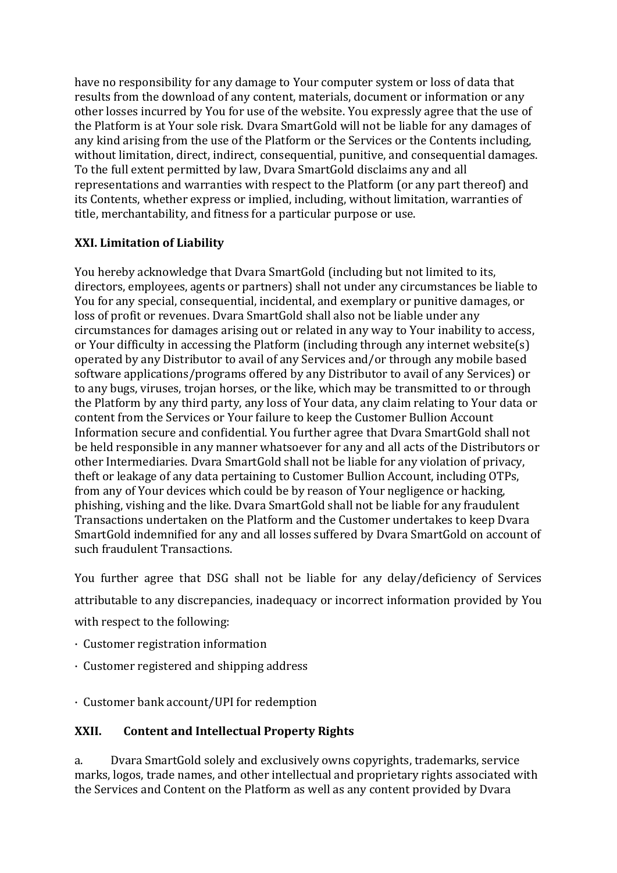have no responsibility for any damage to Your computer system or loss of data that results from the download of any content, materials, document or information or any other losses incurred by You for use of the website. You expressly agree that the use of the Platform is at Your sole risk. Dvara SmartGold will not be liable for any damages of any kind arising from the use of the Platform or the Services or the Contents including, without limitation, direct, indirect, consequential, punitive, and consequential damages. To the full extent permitted by law, Dvara SmartGold disclaims any and all representations and warranties with respect to the Platform (or any part thereof) and its Contents, whether express or implied, including, without limitation, warranties of title, merchantability, and fitness for a particular purpose or use.

### **XXI. Limitation of Liability**

You hereby acknowledge that Dvara SmartGold (including but not limited to its, directors, employees, agents or partners) shall not under any circumstances be liable to You for any special, consequential, incidental, and exemplary or punitive damages, or loss of profit or revenues. Dvara SmartGold shall also not be liable under any circumstances for damages arising out or related in any way to Your inability to access, or Your difficulty in accessing the Platform (including through any internet website(s) operated by any Distributor to avail of any Services and/or through any mobile based software applications/programs offered by any Distributor to avail of any Services) or to any bugs, viruses, trojan horses, or the like, which may be transmitted to or through the Platform by any third party, any loss of Your data, any claim relating to Your data or content from the Services or Your failure to keep the Customer Bullion Account Information secure and confidential. You further agree that Dvara SmartGold shall not be held responsible in any manner whatsoever for any and all acts of the Distributors or other Intermediaries. Dvara SmartGold shall not be liable for any violation of privacy, theft or leakage of any data pertaining to Customer Bullion Account, including OTPs, from any of Your devices which could be by reason of Your negligence or hacking, phishing, vishing and the like. Dvara SmartGold shall not be liable for any fraudulent Transactions undertaken on the Platform and the Customer undertakes to keep Dvara SmartGold indemnified for any and all losses suffered by Dvara SmartGold on account of such fraudulent Transactions.

You further agree that DSG shall not be liable for any delay/deficiency of Services attributable to any discrepancies, inadequacy or incorrect information provided by You with respect to the following:

- · Customer registration information
- · Customer registered and shipping address
- · Customer bank account/UPI for redemption

#### **XXII. Content and Intellectual Property Rights**

a. Dvara SmartGold solely and exclusively owns copyrights, trademarks, service marks, logos, trade names, and other intellectual and proprietary rights associated with the Services and Content on the Platform as well as any content provided by Dvara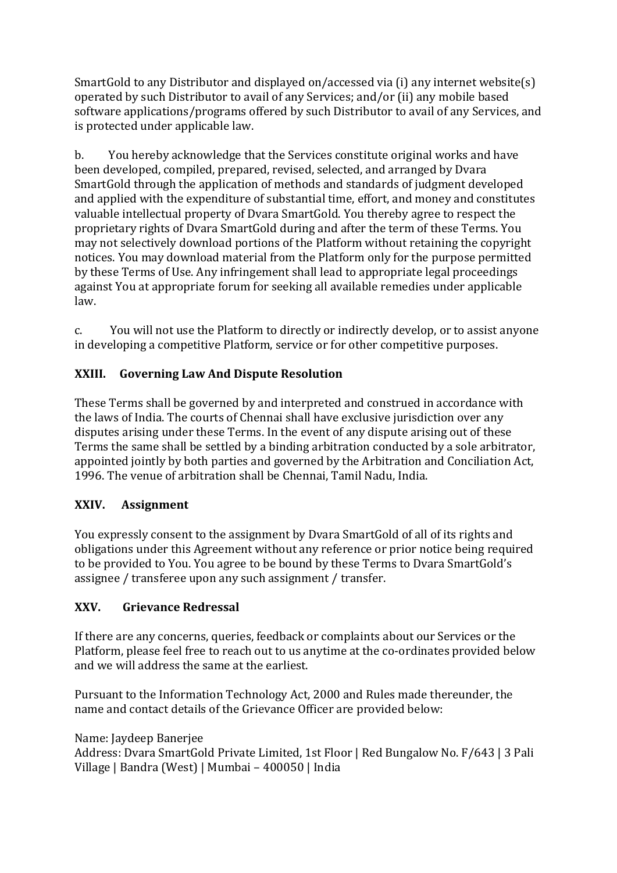SmartGold to any Distributor and displayed on/accessed via (i) any internet website(s) operated by such Distributor to avail of any Services; and/or (ii) any mobile based software applications/programs offered by such Distributor to avail of any Services, and is protected under applicable law.

b. You hereby acknowledge that the Services constitute original works and have been developed, compiled, prepared, revised, selected, and arranged by Dvara SmartGold through the application of methods and standards of judgment developed and applied with the expenditure of substantial time, effort, and money and constitutes valuable intellectual property of Dvara SmartGold. You thereby agree to respect the proprietary rights of Dvara SmartGold during and after the term of these Terms. You may not selectively download portions of the Platform without retaining the copyright notices. You may download material from the Platform only for the purpose permitted by these Terms of Use. Any infringement shall lead to appropriate legal proceedings against You at appropriate forum for seeking all available remedies under applicable law.

c. You will not use the Platform to directly or indirectly develop, or to assist anyone in developing a competitive Platform, service or for other competitive purposes.

### **XXIII. Governing Law And Dispute Resolution**

These Terms shall be governed by and interpreted and construed in accordance with the laws of India. The courts of Chennai shall have exclusive jurisdiction over any disputes arising under these Terms. In the event of any dispute arising out of these Terms the same shall be settled by a binding arbitration conducted by a sole arbitrator, appointed jointly by both parties and governed by the Arbitration and Conciliation Act, 1996. The venue of arbitration shall be Chennai, Tamil Nadu, India.

### **XXIV. Assignment**

You expressly consent to the assignment by Dvara SmartGold of all of its rights and obligations under this Agreement without any reference or prior notice being required to be provided to You. You agree to be bound by these Terms to Dvara SmartGold's assignee / transferee upon any such assignment / transfer.

### **XXV. Grievance Redressal**

If there are any concerns, queries, feedback or complaints about our Services or the Platform, please feel free to reach out to us anytime at the co-ordinates provided below and we will address the same at the earliest.

Pursuant to the Information Technology Act, 2000 and Rules made thereunder, the name and contact details of the Grievance Officer are provided below:

#### Name: Jaydeep Banerjee

Address: Dvara SmartGold Private Limited, 1st Floor | Red Bungalow No. F/643 | 3 Pali Village | Bandra (West) | Mumbai – 400050 | India